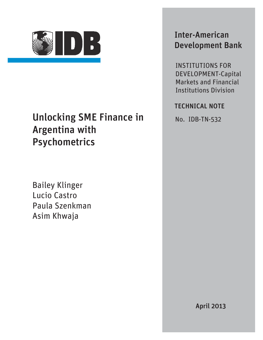

## Unlocking SME Finance in Argentina with Psychometrics

Bailey Klinger Lucio Castro Paula Szenkman Asim Khwaja

## Inter-American Development Bank

INSTITUTIONS FOR DEVELOPMENT-Capital Markets and Financial Institutions Division

### TECHNICAL NOTE

No. IDB-TN-532

April 2013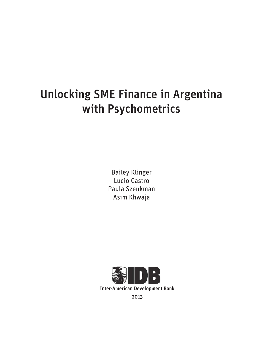# Unlocking SME Finance in Argentina with Psychometrics

Bailey Klinger Lucio Castro Paula Szenkman Asim Khwaja

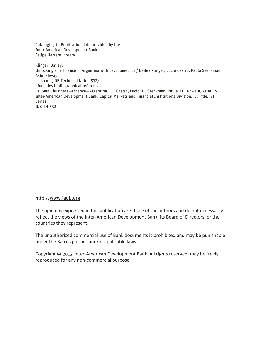Cataloging-in-Publication data provided by the Inter-American Development Bank Felipe Herrera Library

Klinger, Bailey.

Unlocking sme finance in Argentina with psychometrics / Bailey Klinger, Lucio Castro, Paula Szenkman, Asim Khwaja.

p. cm. (IDB Technical Note ; 532)

Includes bibliographical references.

 1. Small business—Finance—Argentina. I. Castro, Lucio. II. Szenkman, Paula. III. Khwaja, Asim. IV. Inter-American Development Bank. Capital Markets and Financial Institutions Division. V. Title. VI. Series.

IDB-TN-532

#### http://www.iadb.org

The opinions expressed in this publication are those of the authors and do not necessarily reflect the views of the Inter-American Development Bank, its Board of Directors, or the countries they represent.

The unauthorized commercial use of Bank documents is prohibited and may be punishable under the Bank's policies and/or applicable laws.

Copyright © 2013 Inter-American Development Bank. All rights reserved; may be freely reproduced for any non-commercial purpose.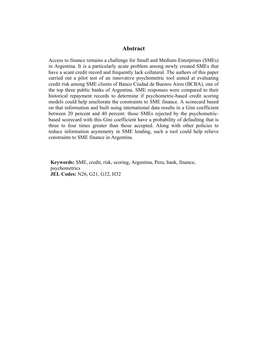#### **Abstract**

Access to finance remains a challenge for Small and Medium Enterprises (SMEs) in Argentina. It is a particularly acute problem among newly created SMEs that have a scant credit record and frequently lack collateral. The authors of this paper carried out a pilot test of an innovative psychometric tool aimed at evaluating credit risk among SME clients of Banco Ciudad de Buenos Aires (BCBA), one of the top three public banks of Argentina. SME responses were compared to their historical repayment records to determine if psychometric-based credit scoring models could help ameliorate the constraints to SME finance. A scorecard based on that information and built using international data results in a Gini coefficient between 20 percent and 40 percent: those SMEs rejected by the psychometricbased scorecard with this Gini coefficient have a probability of defaulting that is three to four times greater than those accepted. Along with other policies to reduce information asymmetry in SME lending, such a tool could help relieve constraints to SME finance in Argentina.

**Keywords:** SME, credit, risk, scoring, Argentina, Peru, bank, finance, psychometrics **JEL Codes:** N26, G21, G32, H32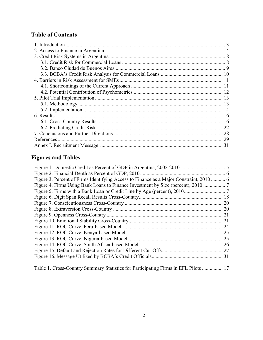## **Table of Contents**

| 1. Introduction |    |
|-----------------|----|
|                 |    |
|                 |    |
|                 |    |
|                 |    |
|                 |    |
|                 |    |
|                 |    |
|                 |    |
|                 |    |
|                 |    |
|                 |    |
|                 |    |
|                 |    |
|                 | 22 |
|                 | 28 |
|                 | 29 |
|                 | 31 |

## **Figures and Tables**

| Figure 3. Percent of Firms Identifying Access to Finance as a Major Constraint, 2010  6 |  |
|-----------------------------------------------------------------------------------------|--|
| Figure 4. Firms Using Bank Loans to Finance Investment by Size (percent), 2010          |  |
|                                                                                         |  |
|                                                                                         |  |
|                                                                                         |  |
|                                                                                         |  |
|                                                                                         |  |
|                                                                                         |  |
|                                                                                         |  |
|                                                                                         |  |
|                                                                                         |  |
|                                                                                         |  |
|                                                                                         |  |
|                                                                                         |  |
| Table 1. Cross-Country Summary Statistics for Participating Firms in EFL Pilots  17     |  |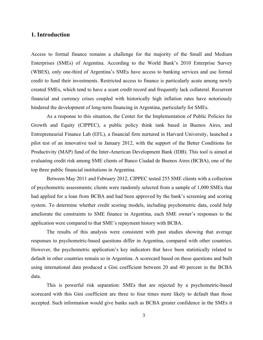#### **1. Introduction**

Access to formal finance remains a challenge for the majority of the Small and Medium Enterprises (SMEs) of Argentina. According to the World Bank's 2010 Enterprise Survey (WBES), only one-third of Argentina's SMEs have access to banking services and use formal credit to fund their investments. Restricted access to finance is particularly acute among newly created SMEs, which tend to have a scant credit record and frequently lack collateral. Recurrent financial and currency crises coupled with historically high inflation rates have notoriously hindered the development of long-term financing in Argentina, particularly for SMEs.

As a response to this situation, the Center for the Implementation of Public Policies for Growth and Equity (CIPPEC), a public policy think tank based in Buenos Aires, and Entrepreneurial Finance Lab (EFL), a financial firm nurtured in Harvard University, launched a pilot test of an innovative tool in January 2012, with the support of the Better Conditions for Productivity (MAP) fund of the Inter-American Development Bank (IDB). This tool is aimed at evaluating credit risk among SME clients of Banco Ciudad de Buenos Aires (BCBA), one of the top three public financial institutions in Argentina.

Between May 2011 and February 2012, CIPPEC tested 255 SME clients with a collection of psychometric assessments; clients were randomly selected from a sample of 1,000 SMEs that had applied for a loan from BCBA and had been approved by the bank's screening and scoring system. To determine whether credit scoring models, including psychometric data, could help ameliorate the constraints to SME finance in Argentina, each SME owner's responses to the application were compared to that SME's repayment history with BCBA.

The results of this analysis were consistent with past studies showing that average responses to psychometric-based questions differ in Argentina, compared with other countries. However, the psychometric application's key indicators that have been statistically related to default in other countries remain so in Argentina. A scorecard based on these questions and built using international data produced a Gini coefficient between 20 and 40 percent in the BCBA data.

This is powerful risk separation: SMEs that are rejected by a psychometric-based scorecard with this Gini coefficient are three to four times more likely to default than those accepted. Such information would give banks such as BCBA greater confidence in the SMEs it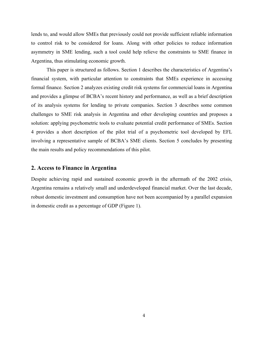lends to, and would allow SMEs that previously could not provide sufficient reliable information to control risk to be considered for loans. Along with other policies to reduce information asymmetry in SME lending, such a tool could help relieve the constraints to SME finance in Argentina, thus stimulating economic growth.

This paper is structured as follows. Section 1 describes the characteristics of Argentina's financial system, with particular attention to constraints that SMEs experience in accessing formal finance. Section 2 analyzes existing credit risk systems for commercial loans in Argentina and provides a glimpse of BCBA's recent history and performance, as well as a brief description of its analysis systems for lending to private companies. Section 3 describes some common challenges to SME risk analysis in Argentina and other developing countries and proposes a solution: applying psychometric tools to evaluate potential credit performance of SMEs. Section 4 provides a short description of the pilot trial of a psychometric tool developed by EFL involving a representative sample of BCBA's SME clients. Section 5 concludes by presenting the main results and policy recommendations of this pilot.

#### **2. Access to Finance in Argentina**

Despite achieving rapid and sustained economic growth in the aftermath of the 2002 crisis, Argentina remains a relatively small and underdeveloped financial market. Over the last decade, robust domestic investment and consumption have not been accompanied by a parallel expansion in domestic credit as a percentage of GDP (Figure 1).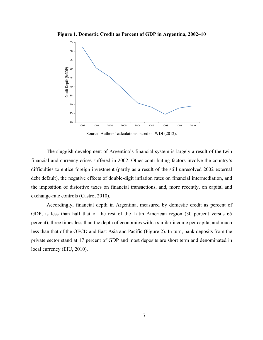**Figure 1. Domestic Credit as Percent of GDP in Argentina, 2002–10**



Source: Authors' calculations based on WDI (2012).

The sluggish development of Argentina's financial system is largely a result of the twin financial and currency crises suffered in 2002. Other contributing factors involve the country's difficulties to entice foreign investment (partly as a result of the still unresolved 2002 external debt default), the negative effects of double-digit inflation rates on financial intermediation, and the imposition of distortive taxes on financial transactions, and, more recently, on capital and exchange-rate controls (Castro, 2010).

Accordingly, financial depth in Argentina, measured by domestic credit as percent of GDP, is less than half that of the rest of the Latin American region (30 percent versus 65 percent), three times less than the depth of economies with a similar income per capita, and much less than that of the OECD and East Asia and Pacific (Figure 2). In turn, bank deposits from the private sector stand at 17 percent of GDP and most deposits are short term and denominated in local currency (EIU, 2010).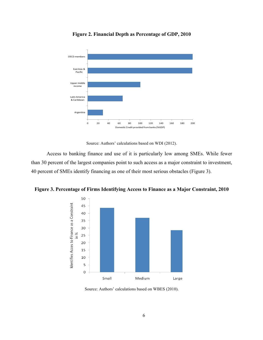

**Figure 2. Financial Depth as Percentage of GDP, 2010**

Source: Authors' calculations based on WDI (2012).

Access to banking finance and use of it is particularly low among SMEs. While fewer than 30 percent of the largest companies point to such access as a major constraint to investment, 40 percent of SMEs identify financing as one of their most serious obstacles (Figure 3).

**Figure 3. Percentage of Firms Identifying Access to Finance as a Major Constraint, 2010**



Source: Authors' calculations based on WBES (2010).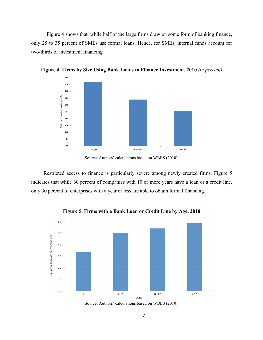Figure 4 shows that, while half of the large firms draw on some form of banking finance, only 25 to 35 percent of SMEs use formal loans. Hence, for SMEs, internal funds account for two-thirds of investment financing.



**Figure 4. Firms by Size Using Bank Loans to Finance Investment, 2010** *(in percent)*

Restricted access to finance is particularly severe among newly created firms. Figure 5 indicates that while 60 percent of companies with 10 or more years have a loan or a credit line, only 30 percent of enterprises with a year or less are able to obtain formal financing.



**Figure 5. Firms with a Bank Loan or Credit Line by Age, 2010**

Source: Authors' calculations based on WBES (2010).

Source: Authors' calculations based on WBES (2010).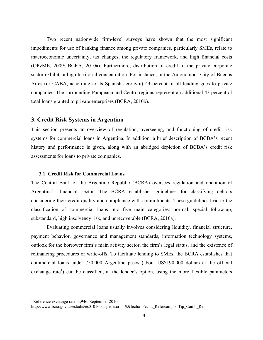Two recent nationwide firm-level surveys have shown that the most significant impediments for use of banking finance among private companies, particularly SMEs, relate to macroeconomic uncertainty, tax changes, the regulatory framework, and high financial costs (OPyME, 2009; BCRA, 2010a). Furthermore, distribution of credit to the private corporate sector exhibits a high territorial concentration. For instance, in the Autonomous City of Buenos Aires (or CABA, according to its Spanish acronym) 43 percent of all lending goes to private companies. The surrounding Pampeana and Centro regions represent an additional 43 percent of total loans granted to private enterprises (BCRA, 2010b).

#### **3. Credit Risk Systems in Argentina**

This section presents an overview of regulation, overseeing, and functioning of credit risk systems for commercial loans in Argentina. In addition, a brief description of BCBA's recent history and performance is given, along with an abridged depiction of BCBA's credit risk assessments for loans to private companies.

#### **3.1. Credit Risk for Commercial Loans**

The Central Bank of the Argentine Republic (BCRA) oversees regulation and operation of Argentina's financial sector. The BCRA establishes guidelines for classifying debtors considering their credit quality and compliance with commitments. These guidelines lead to the classification of commercial loans into five main categories: normal, special follow-up, substandard, high insolvency risk, and unrecoverable (BCRA, 2010a).

Evaluating commercial loans usually involves considering liquidity, financial structure, payment behavior, governance and management standards, information technology systems, outlook for the borrower firm's main activity sector, the firm's legal status, and the existence of refinancing procedures or write-offs. To facilitate lending to SMEs, the BCRA establishes that commercial loans under 750,000 Argentine pesos (about US\$190,000 dollars at the official exchange rate<sup>1</sup>) can be classified, at the lender's option, using the more flexible parameters

 $\overline{a}$ 

<sup>1</sup>Reference exchange rate: 3,946. September 2010.

http://www.bcra.gov.ar/estadis/es010100.asp?descri=19&fecha=Fecha\_Ref&campo=Tip\_Camb\_Ref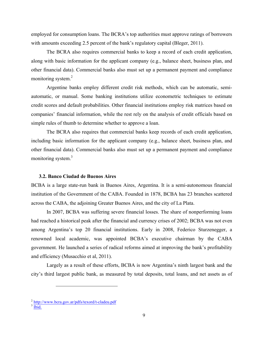employed for consumption loans. The BCRA's top authorities must approve ratings of borrowers with amounts exceeding 2.5 percent of the bank's regulatory capital (Bleger, 2011).

The BCRA also requires commercial banks to keep a record of each credit application, along with basic information for the applicant company (e.g., balance sheet, business plan, and other financial data). Commercial banks also must set up a permanent payment and compliance monitoring system.<sup>2</sup>

Argentine banks employ different credit risk methods, which can be automatic, semiautomatic, or manual. Some banking institutions utilize econometric techniques to estimate credit scores and default probabilities. Other financial institutions employ risk matrices based on companies' financial information, while the rest rely on the analysis of credit officials based on simple rules of thumb to determine whether to approve a loan.

The BCRA also requires that commercial banks keep records of each credit application, including basic information for the applicant company (e.g., balance sheet, business plan, and other financial data). Commercial banks also must set up a permanent payment and compliance monitoring system.<sup>3</sup>

#### **3.2. Banco Ciudad de Buenos Aires**

BCBA is a large state-run bank in Buenos Aires, Argentina. It is a semi-autonomous financial institution of the Government of the CABA. Founded in 1878, BCBA has 23 branches scattered across the CABA, the adjoining Greater Buenos Aires, and the city of La Plata.

In 2007, BCBA was suffering severe financial losses. The share of nonperforming loans had reached a historical peak after the financial and currency crises of 2002; BCBA was not even among Argentina's top 20 financial institutions. Early in 2008, Federico Sturzenegger, a renowned local academic, was appointed BCBA's executive chairman by the CABA government. He launched a series of radical reforms aimed at improving the bank's profitability and efficiency (Musacchio et al, 2011).

Largely as a result of these efforts, BCBA is now Argentina's ninth largest bank and the city's third largest public bank, as measured by total deposits, total loans, and net assets as of

 $\overline{a}$ 

 $\frac{2}{3}$  http://www.bcra.gov.ar/pdfs/texord/t-cladeu.pdf<br> $\frac{3}{1}$  Ibid.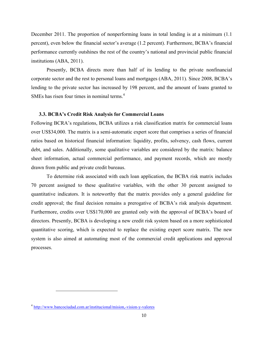December 2011. The proportion of nonperforming loans in total lending is at a minimum (1.1 percent), even below the financial sector's average (1.2 percent). Furthermore, BCBA's financial performance currently outshines the rest of the country's national and provincial public financial institutions (ABA, 2011).

Presently, BCBA directs more than half of its lending to the private nonfinancial corporate sector and the rest to personal loans and mortgages (ABA, 2011). Since 2008, BCBA's lending to the private sector has increased by 198 percent, and the amount of loans granted to SMEs has risen four times in nominal terms.<sup>4</sup>

#### **3.3. BCBA's Credit Risk Analysis for Commercial Loans**

Following BCRA's regulations, BCBA utilizes a risk classification matrix for commercial loans over US\$34,000. The matrix is a semi-automatic expert score that comprises a series of financial ratios based on historical financial information: liquidity, profits, solvency, cash flows, current debt, and sales. Additionally, some qualitative variables are considered by the matrix: balance sheet information, actual commercial performance, and payment records, which are mostly drawn from public and private credit bureaus.

To determine risk associated with each loan application, the BCBA risk matrix includes 70 percent assigned to these qualitative variables, with the other 30 percent assigned to quantitative indicators. It is noteworthy that the matrix provides only a general guideline for credit approval; the final decision remains a prerogative of BCBA's risk analysis department. Furthermore, credits over US\$170,000 are granted only with the approval of BCBA's board of directors. Presently, BCBA is developing a new credit risk system based on a more sophisticated quantitative scoring, which is expected to replace the existing expert score matrix. The new system is also aimed at automating most of the commercial credit applications and approval processes.

 $\overline{a}$ 

<sup>4</sup> http://www.bancociudad.com.ar/institucional/mision,-vision-y-valores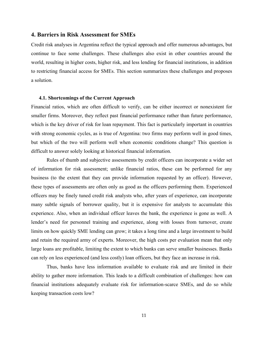#### **4. Barriers in Risk Assessment for SMEs**

Credit risk analyses in Argentina reflect the typical approach and offer numerous advantages, but continue to face some challenges. These challenges also exist in other countries around the world, resulting in higher costs, higher risk, and less lending for financial institutions, in addition to restricting financial access for SMEs. This section summarizes these challenges and proposes a solution.

#### **4.1. Shortcomings of the Current Approach**

Financial ratios, which are often difficult to verify, can be either incorrect or nonexistent for smaller firms. Moreover, they reflect past financial performance rather than future performance, which is the key driver of risk for loan repayment. This fact is particularly important in countries with strong economic cycles, as is true of Argentina: two firms may perform well in good times, but which of the two will perform well when economic conditions change? This question is difficult to answer solely looking at historical financial information.

Rules of thumb and subjective assessments by credit officers can incorporate a wider set of information for risk assessment; unlike financial ratios, these can be performed for any business (to the extent that they can provide information requested by an officer). However, these types of assessments are often only as good as the officers performing them. Experienced officers may be finely tuned credit risk analysts who, after years of experience, can incorporate many subtle signals of borrower quality, but it is expensive for analysts to accumulate this experience. Also, when an individual officer leaves the bank, the experience is gone as well. A lender's need for personnel training and experience, along with losses from turnover, create limits on how quickly SME lending can grow; it takes a long time and a large investment to build and retain the required army of experts. Moreover, the high costs per evaluation mean that only large loans are profitable, limiting the extent to which banks can serve smaller businesses. Banks can rely on less experienced (and less costly) loan officers, but they face an increase in risk.

Thus, banks have less information available to evaluate risk and are limited in their ability to gather more information. This leads to a difficult combination of challenges: how can financial institutions adequately evaluate risk for information-scarce SMEs, and do so while keeping transaction costs low?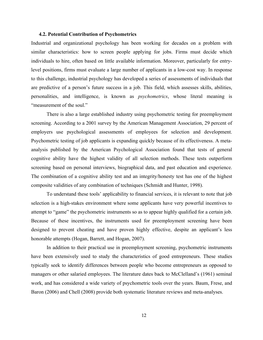#### **4.2. Potential Contribution of Psychometrics**

Industrial and organizational psychology has been working for decades on a problem with similar characteristics: how to screen people applying for jobs. Firms must decide which individuals to hire, often based on little available information. Moreover, particularly for entrylevel positions, firms must evaluate a large number of applicants in a low-cost way. In response to this challenge, industrial psychology has developed a series of assessments of individuals that are predictive of a person's future success in a job. This field, which assesses skills, abilities, personalities, and intelligence, is known as *psychometrics*, whose literal meaning is "measurement of the soul."

There is also a large established industry using psychometric testing for preemployment screening. According to a 2001 survey by the American Management Association, 29 percent of employers use psychological assessments of employees for selection and development. Psychometric testing of job applicants is expanding quickly because of its effectiveness. A metaanalysis published by the American Psychological Association found that tests of general cognitive ability have the highest validity of all selection methods. These tests outperform screening based on personal interviews, biographical data, and past education and experience. The combination of a cognitive ability test and an integrity/honesty test has one of the highest composite validities of any combination of techniques (Schmidt and Hunter, 1998).

To understand these tools' applicability to financial services, it is relevant to note that job selection is a high-stakes environment where some applicants have very powerful incentives to attempt to "game" the psychometric instruments so as to appear highly qualified for a certain job. Because of these incentives, the instruments used for preemployment screening have been designed to prevent cheating and have proven highly effective, despite an applicant's less honorable attempts (Hogan, Barrett, and Hogan, 2007).

In addition to their practical use in preemployment screening, psychometric instruments have been extensively used to study the characteristics of good entrepreneurs. These studies typically seek to identify differences between people who become entrepreneurs as opposed to managers or other salaried employees. The literature dates back to McClelland's (1961) seminal work, and has considered a wide variety of psychometric tools over the years. Baum, Frese, and Baron (2006) and Chell (2008) provide both systematic literature reviews and meta-analyses.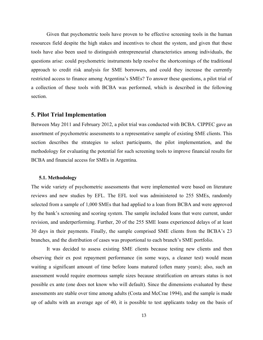Given that psychometric tools have proven to be effective screening tools in the human resources field despite the high stakes and incentives to cheat the system, and given that these tools have also been used to distinguish entrepreneurial characteristics among individuals, the questions arise: could psychometric instruments help resolve the shortcomings of the traditional approach to credit risk analysis for SME borrowers, and could they increase the currently restricted access to finance among Argentina's SMEs? To answer these questions, a pilot trial of a collection of these tools with BCBA was performed, which is described in the following section.

#### **5. Pilot Trial Implementation**

Between May 2011 and February 2012, a pilot trial was conducted with BCBA. CIPPEC gave an assortment of psychometric assessments to a representative sample of existing SME clients. This section describes the strategies to select participants, the pilot implementation, and the methodology for evaluating the potential for such screening tools to improve financial results for BCBA and financial access for SMEs in Argentina.

#### **5.1. Methodology**

The wide variety of psychometric assessments that were implemented were based on literature reviews and new studies by EFL. The EFL tool was administered to 255 SMEs, randomly selected from a sample of 1,000 SMEs that had applied to a loan from BCBA and were approved by the bank's screening and scoring system. The sample included loans that were current, under revision, and underperforming. Further, 20 of the 255 SME loans experienced delays of at least 30 days in their payments. Finally, the sample comprised SME clients from the BCBA's 23 branches, and the distribution of cases was proportional to each branch's SME portfolio.

It was decided to assess existing SME clients because testing new clients and then observing their ex post repayment performance (in some ways, a cleaner test) would mean waiting a significant amount of time before loans matured (often many years); also, such an assessment would require enormous sample sizes because stratification on arrears status is not possible ex ante (one does not know who will default). Since the dimensions evaluated by these assessments are stable over time among adults (Costa and McCrae 1994), and the sample is made up of adults with an average age of 40, it is possible to test applicants today on the basis of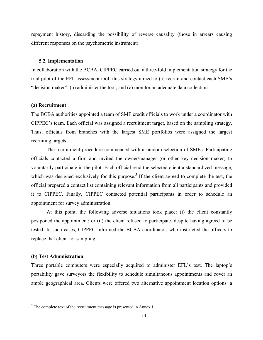repayment history, discarding the possibility of reverse causality (those in arrears causing different responses on the psychometric instrument).

#### **5.2. Implementation**

In collaboration with the BCBA, CIPPEC carried out a three-fold implementation strategy for the trial pilot of the EFL assessment tool; this strategy aimed to (a) recruit and contact each SME's "decision maker"; (b) administer the tool; and (c) monitor an adequate data collection.

#### **(a) Recruitment**

The BCBA authorities appointed a team of SME credit officials to work under a coordinator with CIPPEC's team. Each official was assigned a recruitment target, based on the sampling strategy. Thus, officials from branches with the largest SME portfolios were assigned the largest recruiting targets.

The recruitment procedure commenced with a random selection of SMEs. Participating officials contacted a firm and invited the owner/manager (or other key decision maker) to voluntarily participate in the pilot. Each official read the selected client a standardized message, which was designed exclusively for this purpose.<sup>5</sup> If the client agreed to complete the test, the official prepared a contact list containing relevant information from all participants and provided it to CIPPEC. Finally, CIPPEC contacted potential participants in order to schedule an appointment for survey administration.

At this point, the following adverse situations took place: (i) the client constantly postponed the appointment; or (ii) the client refused to participate, despite having agreed to be tested. In such cases, CIPPEC informed the BCBA coordinator, who instructed the officers to replace that client for sampling.

#### **(b) Test Administration**

 $\overline{a}$ 

Three portable computers were especially acquired to administer EFL's test. The laptop's portability gave surveyors the flexibility to schedule simultaneous appointments and cover an ample geographical area. Clients were offered two alternative appointment location options: a

 $<sup>5</sup>$  The complete text of the recruitment message is presented in Annex 1.</sup>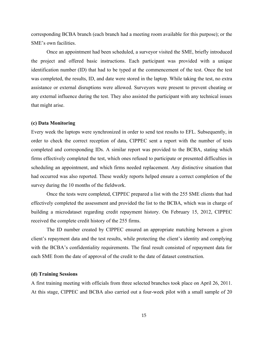corresponding BCBA branch (each branch had a meeting room available for this purpose); or the SME's own facilities.

Once an appointment had been scheduled, a surveyor visited the SME, briefly introduced the project and offered basic instructions. Each participant was provided with a unique identification number (ID) that had to be typed at the commencement of the test. Once the test was completed, the results, ID, and date were stored in the laptop. While taking the test, no extra assistance or external disruptions were allowed. Surveyors were present to prevent cheating or any external influence during the test. They also assisted the participant with any technical issues that might arise.

#### **(c) Data Monitoring**

Every week the laptops were synchronized in order to send test results to EFL. Subsequently, in order to check the correct reception of data, CIPPEC sent a report with the number of tests completed and corresponding IDs. A similar report was provided to the BCBA, stating which firms effectively completed the test, which ones refused to participate or presented difficulties in scheduling an appointment, and which firms needed replacement. Any distinctive situation that had occurred was also reported. These weekly reports helped ensure a correct completion of the survey during the 10 months of the fieldwork.

Once the tests were completed, CIPPEC prepared a list with the 255 SME clients that had effectively completed the assessment and provided the list to the BCBA, which was in charge of building a microdataset regarding credit repayment history. On February 15, 2012, CIPPEC received the complete credit history of the 255 firms.

The ID number created by CIPPEC ensured an appropriate matching between a given client's repayment data and the test results, while protecting the client's identity and complying with the BCBA's confidentiality requirements. The final result consisted of repayment data for each SME from the date of approval of the credit to the date of dataset construction.

#### **(d) Training Sessions**

A first training meeting with officials from three selected branches took place on April 26, 2011. At this stage, CIPPEC and BCBA also carried out a four-week pilot with a small sample of 20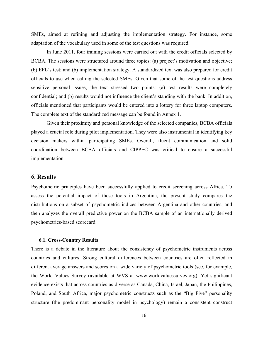SMEs, aimed at refining and adjusting the implementation strategy. For instance, some adaptation of the vocabulary used in some of the test questions was required.

In June 2011, four training sessions were carried out with the credit officials selected by BCBA. The sessions were structured around three topics: (a) project's motivation and objective; (b) EFL's test; and (b) implementation strategy. A standardized text was also prepared for credit officials to use when calling the selected SMEs. Given that some of the test questions address sensitive personal issues, the text stressed two points: (a) test results were completely confidential; and (b) results would not influence the client's standing with the bank. In addition, officials mentioned that participants would be entered into a lottery for three laptop computers. The complete text of the standardized message can be found in Annex 1.

Given their proximity and personal knowledge of the selected companies, BCBA officials played a crucial role during pilot implementation. They were also instrumental in identifying key decision makers within participating SMEs. Overall, fluent communication and solid coordination between BCBA officials and CIPPEC was critical to ensure a successful implementation.

#### **6. Results**

Psychometric principles have been successfully applied to credit screening across Africa. To assess the potential impact of these tools in Argentina, the present study compares the distributions on a subset of psychometric indices between Argentina and other countries, and then analyzes the overall predictive power on the BCBA sample of an internationally derived psychometrics-based scorecard.

#### **6.1. Cross-Country Results**

There is a debate in the literature about the consistency of psychometric instruments across countries and cultures. Strong cultural differences between countries are often reflected in different average answers and scores on a wide variety of psychometric tools (see, for example, the World Values Survey (available at WVS at www.worldvaluessurvey.org). Yet significant evidence exists that across countries as diverse as Canada, China, Israel, Japan, the Philippines, Poland, and South Africa, major psychometric constructs such as the "Big Five" personality structure (the predominant personality model in psychology) remain a consistent construct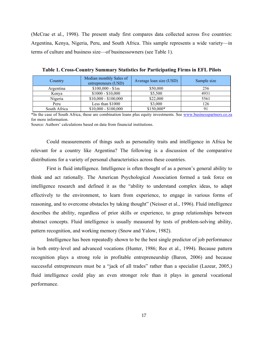(McCrae et al., 1998). The present study first compares data collected across five countries: Argentina, Kenya, Nigeria, Peru, and South Africa. This sample represents a wide variety—in terms of culture and business size—of businessowners (see Table 1).

| Country      | Median monthly Sales of<br>entrepreneurs (USD) | Average loan size (USD) | Sample size |
|--------------|------------------------------------------------|-------------------------|-------------|
| Argentina    | $$100,000 - $1m$                               | \$50,000                | 256         |
| Kenya        | $$1000 - $10,000$                              | \$5,500                 | 4931        |
| Nigeria      | $$10,000 - $100,000$                           | \$22,000                | 5561        |
| Peru         | Less than \$1000                               | \$3,000                 | 126         |
| South Africa | $$10,000 - $100,000$                           | \$150,000*              |             |

**Table 1. Cross-Country Summary Statistics for Participating Firms in EFL Pilots**

\*In the case of South Africa, these are combination loans plus equity investments. See www.businesspartners.co.za for more information.

Source: Authors' calculations based on data from financial institutions.

Could measurements of things such as personality traits and intelligence in Africa be relevant for a country like Argentina? The following is a discussion of the comparative distributions for a variety of personal characteristics across these countries.

First is fluid intelligence. Intelligence is often thought of as a person's general ability to think and act rationally. The American Psychological Association formed a task force on intelligence research and defined it as the "ability to understand complex ideas, to adapt effectively to the environment, to learn from experience, to engage in various forms of reasoning, and to overcome obstacles by taking thought" (Neisser et al., 1996). Fluid intelligence describes the ability, regardless of prior skills or experience, to grasp relationships between abstract concepts. Fluid intelligence is usually measured by tests of problem-solving ability, pattern recognition, and working memory (Snow and Yalow, 1982).

Intelligence has been repeatedly shown to be the best single predictor of job performance in both entry-level and advanced vocations (Hunter, 1986; Ree et al., 1994). Because pattern recognition plays a strong role in profitable entrepreneurship (Baron, 2006) and because successful entrepreneurs must be a "jack of all trades" rather than a specialist (Lazear, 2005,) fluid intelligence could play an even stronger role than it plays in general vocational performance.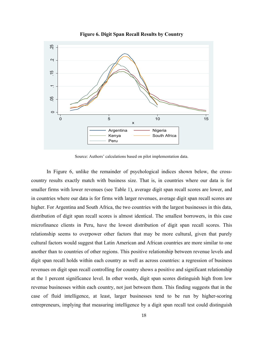

**Figure 6. Digit Span Recall Results by Country**

Source: Authors' calculations based on pilot implementation data.

In Figure 6, unlike the remainder of psychological indices shown below, the crosscountry results exactly match with business size. That is, in countries where our data is for smaller firms with lower revenues (see Table 1), average digit span recall scores are lower, and in countries where our data is for firms with larger revenues, average digit span recall scores are higher. For Argentina and South Africa, the two countries with the largest businesses in this data, distribution of digit span recall scores is almost identical. The smallest borrowers, in this case microfinance clients in Peru, have the lowest distribution of digit span recall scores. This relationship seems to overpower other factors that may be more cultural, given that purely cultural factors would suggest that Latin American and African countries are more similar to one another than to countries of other regions. This positive relationship between revenue levels and digit span recall holds within each country as well as across countries: a regression of business revenues on digit span recall controlling for country shows a positive and significant relationship at the 1 percent significance level. In other words, digit span scores distinguish high from low revenue businesses within each country, not just between them. This finding suggests that in the case of fluid intelligence, at least, larger businesses tend to be run by higher-scoring entrepreneurs, implying that measuring intelligence by a digit span recall test could distinguish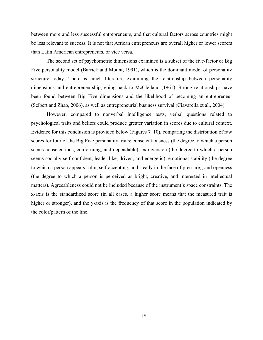between more and less successful entrepreneurs, and that cultural factors across countries might be less relevant to success. It is not that African entrepreneurs are overall higher or lower scorers than Latin American entrepreneurs, or vice versa.

The second set of psychometric dimensions examined is a subset of the five-factor or Big Five personality model (Barrick and Mount, 1991), which is the dominant model of personality structure today. There is much literature examining the relationship between personality dimensions and entrepreneurship, going back to McClelland (1961). Strong relationships have been found between Big Five dimensions and the likelihood of becoming an entrepreneur (Seibert and Zhao, 2006), as well as entrepreneurial business survival (Ciavarella et al., 2004).

However, compared to nonverbal intelligence tests, verbal questions related to psychological traits and beliefs could produce greater variation in scores due to cultural context. Evidence for this conclusion is provided below (Figures 7–10), comparing the distribution of raw scores for four of the Big Five personality traits: conscientiousness (the degree to which a person seems conscientious, conforming, and dependable); extraversion (the degree to which a person seems socially self-confident, leader-like, driven, and energetic); emotional stability (the degree to which a person appears calm, self-accepting, and steady in the face of pressure); and openness (the degree to which a person is perceived as bright, creative, and interested in intellectual matters). Agreeableness could not be included because of the instrument's space constraints. The x-axis is the standardized score (in all cases, a higher score means that the measured trait is higher or stronger), and the y-axis is the frequency of that score in the population indicated by the color/pattern of the line.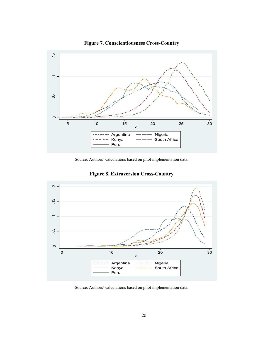

**Figure 7. Conscientiousness Cross-Country**

Source: Authors' calculations based on pilot implementation data.



**Figure 8. Extraversion Cross-Country**

Source: Authors' calculations based on pilot implementation data.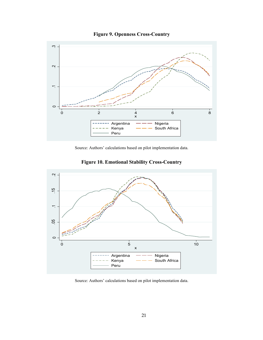

**Figure 9. Openness Cross-Country**

Source: Authors' calculations based on pilot implementation data.



**Figure 10. Emotional Stability Cross-Country**

Source: Authors' calculations based on pilot implementation data.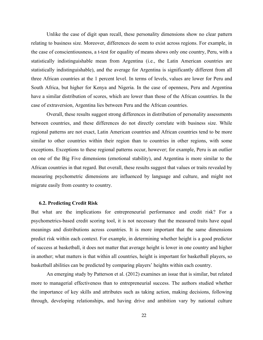Unlike the case of digit span recall, these personality dimensions show no clear pattern relating to business size. Moreover, differences do seem to exist across regions. For example, in the case of conscientiousness, a t-test for equality of means shows only one country, Peru, with a statistically indistinguishable mean from Argentina (i.e., the Latin American countries are statistically indistinguishable), and the average for Argentina is significantly different from all three African countries at the 1 percent level. In terms of levels, values are lower for Peru and South Africa, but higher for Kenya and Nigeria. In the case of openness, Peru and Argentina have a similar distribution of scores, which are lower than those of the African countries. In the case of extraversion, Argentina lies between Peru and the African countries.

Overall, these results suggest strong differences in distribution of personality assessments between countries, and these differences do not directly correlate with business size. While regional patterns are not exact, Latin American countries and African countries tend to be more similar to other countries within their region than to countries in other regions, with some exceptions. Exceptions to these regional patterns occur, however; for example, Peru is an outlier on one of the Big Five dimensions (emotional stability), and Argentina is more similar to the African countries in that regard. But overall, these results suggest that values or traits revealed by measuring psychometric dimensions are influenced by language and culture, and might not migrate easily from country to country.

#### **6.2. Predicting Credit Risk**

But what are the implications for entrepreneurial performance and credit risk? For a psychometrics-based credit scoring tool, it is not necessary that the measured traits have equal meanings and distributions across countries. It is more important that the same dimensions predict risk within each context. For example, in determining whether height is a good predictor of success at basketball, it does not matter that average height is lower in one country and higher in another; what matters is that within all countries, height is important for basketball players, so basketball abilities can be predicted by comparing players' heights within each country.

An emerging study by Patterson et al. (2012) examines an issue that is similar, but related more to managerial effectiveness than to entrepreneurial success. The authors studied whether the importance of key skills and attributes such as taking action, making decisions, following through, developing relationships, and having drive and ambition vary by national culture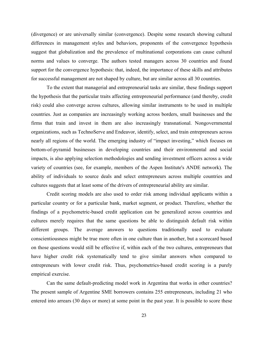(divergence) or are universally similar (convergence). Despite some research showing cultural differences in management styles and behaviors, proponents of the convergence hypothesis suggest that globalization and the prevalence of multinational corporations can cause cultural norms and values to converge. The authors tested managers across 30 countries and found support for the convergence hypothesis: that, indeed, the importance of these skills and attributes for successful management are not shaped by culture, but are similar across all 30 countries.

To the extent that managerial and entrepreneurial tasks are similar, these findings support the hypothesis that the particular traits affecting entrepreneurial performance (and thereby, credit risk) could also converge across cultures, allowing similar instruments to be used in multiple countries. Just as companies are increasingly working across borders, small businesses and the firms that train and invest in them are also increasingly transnational. Nongovernmental organizations, such as TechnoServe and Endeavor, identify, select, and train entrepreneurs across nearly all regions of the world. The emerging industry of "impact investing," which focuses on bottom-of-pyramid businesses in developing countries and their environmental and social impacts, is also applying selection methodologies and sending investment officers across a wide variety of countries (see, for example, members of the Aspen Institute's ANDE network). The ability of individuals to source deals and select entrepreneurs across multiple countries and cultures suggests that at least some of the drivers of entrepreneurial ability are similar.

Credit scoring models are also used to order risk among individual applicants within a particular country or for a particular bank, market segment, or product. Therefore, whether the findings of a psychometric-based credit application can be generalized across countries and cultures merely requires that the same questions be able to distinguish default risk within different groups. The average answers to questions traditionally used to evaluate conscientiousness might be true more often in one culture than in another, but a scorecard based on those questions would still be effective if, within each of the two cultures, entrepreneurs that have higher credit risk systematically tend to give similar answers when compared to entrepreneurs with lower credit risk. Thus, psychometrics-based credit scoring is a purely empirical exercise.

Can the same default-predicting model work in Argentina that works in other countries? The present sample of Argentine SME borrowers contains 255 entrepreneurs, including 21 who entered into arrears (30 days or more) at some point in the past year. It is possible to score these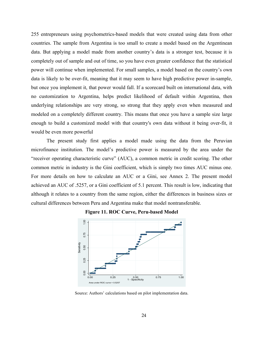255 entrepreneurs using psychometrics-based models that were created using data from other countries. The sample from Argentina is too small to create a model based on the Argentinean data. But applying a model made from another country's data is a stronger test, because it is completely out of sample and out of time, so you have even greater confidence that the statistical power will continue when implemented. For small samples, a model based on the country's own data is likely to be over-fit, meaning that it may seem to have high predictive power in-sample, but once you implement it, that power would fall. If a scorecard built on international data, with no customization to Argentina, helps predict likelihood of default within Argentina, then underlying relationships are very strong, so strong that they apply even when measured and modeled on a completely different country. This means that once you have a sample size large enough to build a customized model with that country's own data without it being over-fit, it would be even more powerful

The present study first applies a model made using the data from the Peruvian microfinance institution. The model's predictive power is measured by the area under the "receiver operating characteristic curve" (AUC), a common metric in credit scoring. The other common metric in industry is the Gini coefficient, which is simply two times AUC minus one. For more details on how to calculate an AUC or a Gini, see Annex 2. The present model achieved an AUC of .5257, or a Gini coefficient of 5.1 percent. This result is low, indicating that although it relates to a country from the same region, either the differences in business sizes or cultural differences between Peru and Argentina make that model nontransferable.





Source: Authors' calculations based on pilot implementation data.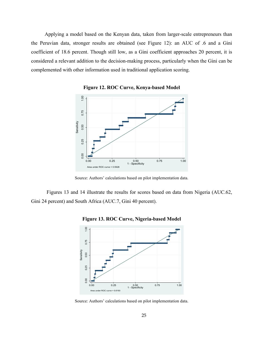Applying a model based on the Kenyan data, taken from larger-scale entrepreneurs than the Peruvian data, stronger results are obtained (see Figure 12): an AUC of .6 and a Gini coefficient of 18.6 percent. Though still low, as a Gini coefficient approaches 20 percent, it is considered a relevant addition to the decision-making process, particularly when the Gini can be complemented with other information used in traditional application scoring.



**Figure 12. ROC Curve, Kenya-based Model**



Figures 13 and 14 illustrate the results for scores based on data from Nigeria (AUC.62, Gini 24 percent) and South Africa (AUC.7, Gini 40 percent).



**Figure 13. ROC Curve, Nigeria-based Model**

Source: Authors' calculations based on pilot implementation data.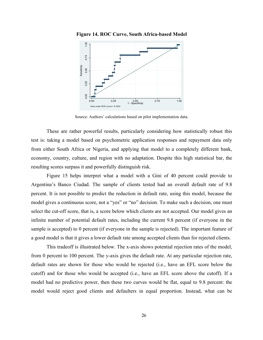

**Figure 14. ROC Curve, South Africa-based Model**

Source: Authors' calculations based on pilot implementation data.

These are rather powerful results, particularly considering how statistically robust this test is: taking a model based on psychometric application responses and repayment data only from either South Africa or Nigeria, and applying that model to a completely different bank, economy, country, culture, and region with no adaptation. Despite this high statistical bar, the resulting scores surpass it and powerfully distinguish risk.

Figure 15 helps interpret what a model with a Gini of 40 percent could provide to Argentina's Banco Ciudad. The sample of clients tested had an overall default rate of 9.8 percent. It is not possible to predict the reduction in default rate, using this model, because the model gives a continuous score, not a "yes" or "no" decision. To make such a decision, one must select the cut-off score, that is, a score below which clients are not accepted. Our model gives an infinite number of potential default rates, including the current 9.8 percent (if everyone in the sample is accepted) to 0 percent (if everyone in the sample is rejected). The important feature of a good model is that it gives a lower default rate among accepted clients than for rejected clients.

This tradeoff is illustrated below. The x-axis shows potential rejection rates of the model, from 0 percent to 100 percent. The y-axis gives the default rate. At any particular rejection rate, default rates are shown for those who would be rejected (i.e., have an EFL score below the cutoff) and for those who would be accepted (i.e., have an EFL score above the cutoff). If a model had no predictive power, then these two curves would be flat, equal to 9.8 percent: the model would reject good clients and defaulters in equal proportion. Instead, what can be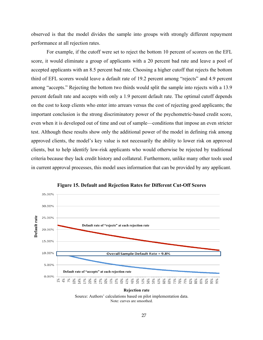observed is that the model divides the sample into groups with strongly different repayment performance at all rejection rates.

For example, if the cutoff were set to reject the bottom 10 percent of scorers on the EFL score, it would eliminate a group of applicants with a 20 percent bad rate and leave a pool of accepted applicants with an 8.5 percent bad rate. Choosing a higher cutoff that rejects the bottom third of EFL scorers would leave a default rate of 19.2 percent among "rejects" and 4.9 percent among "accepts." Rejecting the bottom two thirds would split the sample into rejects with a 13.9 percent default rate and accepts with only a 1.9 percent default rate. The optimal cutoff depends on the cost to keep clients who enter into arrears versus the cost of rejecting good applicants; the important conclusion is the strong discriminatory power of the psychometric-based credit score, even when it is developed out of time and out of sample—conditions that impose an even stricter test. Although these results show only the additional power of the model in defining risk among approved clients, the model's key value is not necessarily the ability to lower risk on approved clients, but to help identify low-risk applicants who would otherwise be rejected by traditional criteria because they lack credit history and collateral. Furthermore, unlike many other tools used in current approval processes, this model uses information that can be provided by any applicant.



**Figure 15. Default and Rejection Rates for Different Cut-Off Scores**

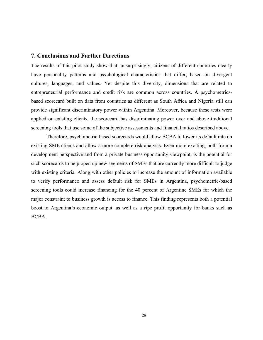#### **7. Conclusions and Further Directions**

The results of this pilot study show that, unsurprisingly, citizens of different countries clearly have personality patterns and psychological characteristics that differ, based on divergent cultures, languages, and values. Yet despite this diversity, dimensions that are related to entrepreneurial performance and credit risk are common across countries. A psychometricsbased scorecard built on data from countries as different as South Africa and Nigeria still can provide significant discriminatory power within Argentina. Moreover, because these tests were applied on existing clients, the scorecard has discriminating power over and above traditional screening tools that use some of the subjective assessments and financial ratios described above.

Therefore, psychometric-based scorecards would allow BCBA to lower its default rate on existing SME clients and allow a more complete risk analysis. Even more exciting, both from a development perspective and from a private business opportunity viewpoint, is the potential for such scorecards to help open up new segments of SMEs that are currently more difficult to judge with existing criteria. Along with other policies to increase the amount of information available to verify performance and assess default risk for SMEs in Argentina, psychometric-based screening tools could increase financing for the 40 percent of Argentine SMEs for which the major constraint to business growth is access to finance. This finding represents both a potential boost to Argentina's economic output, as well as a ripe profit opportunity for banks such as BCBA.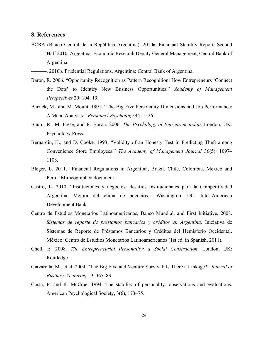#### **8. References**

- BCRA (Banco Central de la República Argentina). 2010a. Financial Stability Report: Second Half 2010. Argentina: Economic Research Deputy General Management, Central Bank of Argentina.
- ———. 2010b. Prudential Regulations. Argentina: Central Bank of Argentina.
- Baron, R. 2006. "Opportunity Recognition as Pattern Recognition: How Entrepreneurs 'Connect the Dots' to Identify New Business Opportunities." *Academy of Management Perspectives* 20: 104–19.
- Barrick, M., and M. Mount. 1991. "The Big Five Personality Dimensions and Job Performance: A Meta–Analysis." *Personnel Psychology* 44: 1–26.
- Baum, R., M. Frese, and R. Baron. 2006. *The Psychology of Entrepreneurship*. London, UK: Psychology Press.
- Bernardin, H., and D. Cooke. 1993. "Validity of an Honesty Test in Predicting Theft among Convenience Store Employees." *The Academy of Management Journal* 36(5): 1097– 1108.
- Bleger, L. 2011. "Financial Regulations in Argentina, Brazil, Chile, Colombia, Mexico and Peru." Mimeographed document.
- Castro, L. 2010. "Instituciones y negocios: desafíos institucionales para la Competitividad Argentina. Mejora del clima de negocios." Washington, DC: Inter-American Development Bank.
- Centro de Estudios Monetarios Latinoamericanos, Banco Mundial, and First Initiative. 2008. *Sistemas de reporte de préstamos bancarios y créditos en Argentina.* Iniciativa de Sistemas de Reporte de Préstamos Bancarios y Créditos del Hemisferio Occidental. México: Centro de Estudios Monetarios Latinoamericanos (1st ed. in Spanish, 2011).
- Chell, E. 2008. *The Entrepreneurial Personality: a Social Construction*. London, UK: Routledge.
- Ciavarella, M., et al. 2004. "The Big Five and Venture Survival: Is There a Linkage?" *Journal of Business Venturing* 19: 465–83.
- Costa, P. and R. McCrae. 1994. The stability of personality: observations and evaluations. American Psychological Society, 3(6), 173–75.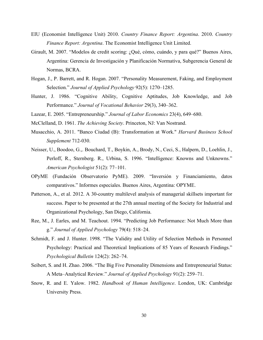- EIU (Economist Intelligence Unit) 2010. *Country Finance Report: Argentina*. 2010. *Country Finance Report: Argentina*. The Economist Intelligence Unit Limited.
- Girault, M. 2007. "Modelos de credit scoring: ¿Qué, cómo, cuándo, y para qué?" Buenos Aires, Argentina: Gerencia de Investigación y Planificación Normativa, Subgerencia General de Normas, BCRA.
- Hogan, J., P. Barrett, and R. Hogan. 2007. "Personality Measurement, Faking, and Employment Selection." *Journal of Applied Psychology* 92(5): 1270–1285.
- Hunter, J. 1986. "Cognitive Ability, Cognitive Aptitudes, Job Knowledge, and Job Performance." *Journal of Vocational Behavior* 29(3), 340–362.
- Lazear, E. 2005. "Entrepreneurship." *Journal of Labor Economics* 23(4), 649–680.
- McClelland, D. 1961. *The Achieving Society*. Princeton, NJ: Van Nostrand.
- Musacchio, A. 2011. "Banco Ciudad (B): Transformation at Work." *Harvard Business School Supplement* 712-030.
- Neisser, U., Boodoo, G.,. Bouchard, T., Boykin, A., Brody, N., Ceci, S., Halpern, D., Loehlin, J., Perloff, R., Sternberg. R., Urbina, S. 1996. "Intelligence: Knowns and Unknowns." *American Psychologist* 51(2): 77–101.
- OPyME (Fundación Observatorio PyME). 2009. "Inversión y Financiamiento, datos comparativos." Informes especiales. Buenos Aires, Argentina: OPYME.
- Patterson, A., et al. 2012. A 30-country multilevel analysis of managerial skillsets important for success. Paper to be presented at the 27th annual meeting of the Society for Industrial and Organizational Psychology, San Diego, California.
- Ree, M., J. Earles, and M. Teachout. 1994. "Predicting Job Performance: Not Much More than g." *Journal of Applied Psychology* 79(4): 518–24.
- Schmidt, F. and J. Hunter. 1998. "The Validity and Utility of Selection Methods in Personnel Psychology: Practical and Theoretical Implications of 85 Years of Research Findings." *Psychological Bulletin* 124(2): 262–74.
- Seibert, S. and H. Zhao. 2006. "The Big Five Personality Dimensions and Entrepreneurial Status: A Meta–Analytical Review." *Journal of Applied Psychology* 91(2): 259–71.
- Snow, R. and E. Yalow. 1982. *Handbook of Human Intelligence*. London, UK: Cambridge University Press.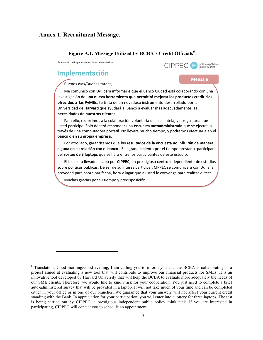#### **Annex 1. Recruitment Message.**

#### **Figure A.1. Message Utilized by BCBA's Credit Officials6**

**Evaluación de impacto de técnicas psicométricas**

## **Implementación**

1

#### Buenos días/Buenas tardes.

Me comunico con Ud. para informarle que el Banco Ciudad está colaborando con una investigación de una nueva herramienta que permitirá mejorar los productos crediticios **ofrecidos a las PyMEs**. Se trata de un novedoso instrumento desarrollado por la Universidad'de'**Harvard** que'ayudará'al'Banco'a'evaluar'más'adecuadamente'las' **necesidades-de-nuestros-clientes**.'

**Mensaje-**

 $C$  PPFC  $P$ 

políticas públicas<br>public policies

16

Para ello, recurrimos a la colaboración voluntaria de la clientela, y nos gustaría que usted participe. Solo deberá responder una **encuesta autoadministrada** que se ejecuta a través de una computadora portátil. No llevará mucho tiempo, y podremos efectuarla en el banco o en su propia empresa.

Por otro lado, garantizamos que los resultados de la encuesta no influirán de manera alguna en su relación con el banco . En agradecimiento por el tiempo prestado, participará del **sorteo de 3 laptops** que se hará entre los participantes de este estudio.

El test será llevado a cabo por **CIPPEC**, un prestigioso centro independiente de estudios sobre políticas públicas. De ser de su interés participar, CIPPEC se comunicará con Ud. a la brevedad para coordinar fecha, hora y lugar que a usted le convenga para realizar el test.

Muchas gracias por su tiempo y predisposición.

<sup>&</sup>lt;sup>6</sup> Translation: Good morning/Good evening, I am calling you to inform you that the BCBA is collaborating in a project aimed at evaluating a new tool that will contribute to improve our financial products for SMEs. It is an innovative tool developed by Harvard University that will help the BCBA to evaluate more adequately the needs of our SME clients. Therefore, we would like to kindly ask for your cooperation. You just need to complete a brief auto-administered survey that will be provided in a laptop. It will not take much of your time and can be completed either in your office or in one of our branches. We guarantee that your answers will not affect your current credit standing with the Bank. In appreciation for your participation, you will enter into a lottery for three laptops. The test is being carried out by CIPPEC, a prestigious independent public policy think tank. If you are interested in participating, CIPPEC will contact you to schedule an appointment.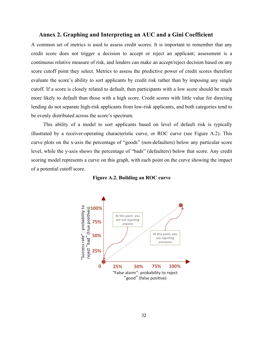#### **Annex 2. Graphing and Interpreting an AUC and a Gini Coefficient**

A common set of metrics is used to assess credit scores. It is important to remember that any credit score does not trigger a decision to accept or reject an applicant; assessment is a continuous relative measure of risk, and lenders can make an accept/reject decision based on any score cutoff point they select. Metrics to assess the predictive power of credit scores therefore evaluate the score's ability to sort applicants by credit risk rather than by imposing any single cutoff. If a score is closely related to default, then participants with a low score should be much more likely to default than those with a high score. Credit scores with little value for directing lending do not separate high-risk applicants from low-risk applicants, and both categories tend to be evenly distributed across the score's spectrum.

This ability of a model to sort applicants based on level of default risk is typically illustrated by a receiver-operating characteristic curve, or ROC curve (see Figure A.2). This curve plots on the x-axis the percentage of "goods" (non-defaulters) below any particular score level, while the y-axis shows the percentage of "bads" (defaulters) below that score. Any credit scoring model represents a curve on this graph, with each point on the curve showing the impact of a potential cutoff score.



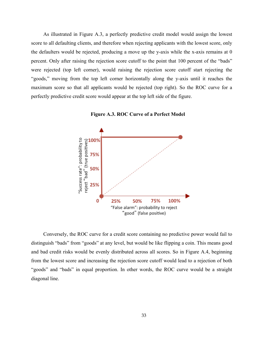As illustrated in Figure A.3, a perfectly predictive credit model would assign the lowest score to all defaulting clients, and therefore when rejecting applicants with the lowest score, only the defaulters would be rejected, producing a move up the y-axis while the x-axis remains at 0 percent. Only after raising the rejection score cutoff to the point that 100 percent of the "bads" were rejected (top left corner), would raising the rejection score cutoff start rejecting the "goods," moving from the top left corner horizontally along the y-axis until it reaches the maximum score so that all applicants would be rejected (top right). So the ROC curve for a perfectly predictive credit score would appear at the top left side of the figure.





Conversely, the ROC curve for a credit score containing no predictive power would fail to distinguish "bads" from "goods" at any level, but would be like flipping a coin. This means good and bad credit risks would be evenly distributed across all scores. So in Figure A.4, beginning from the lowest score and increasing the rejection score cutoff would lead to a rejection of both "goods" and "bads" in equal proportion. In other words, the ROC curve would be a straight diagonal line.